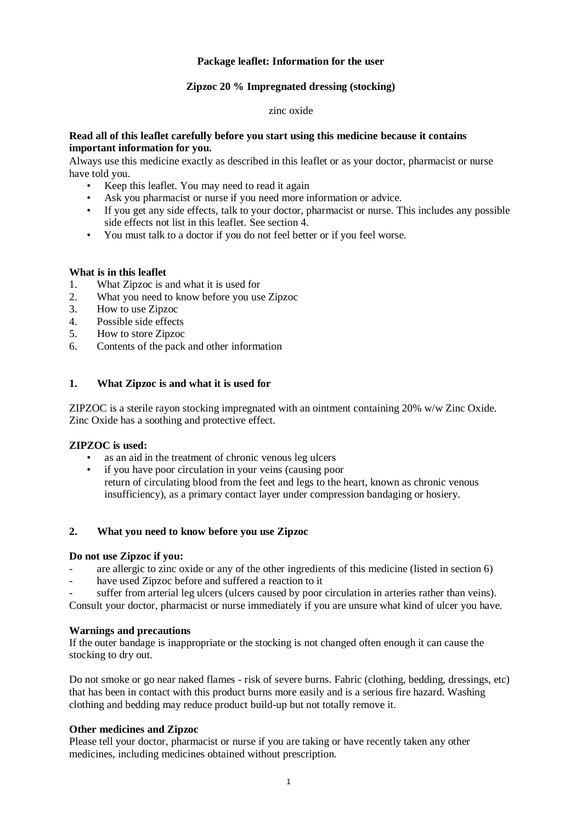# **Package leaflet: Information for the user**

# **Zipzoc 20 % Impregnated dressing (stocking)**

#### zinc oxide

### **Read all of this leaflet carefully before you start using this medicine because it contains important information for you.**

Always use this medicine exactly as described in this leaflet or as your doctor, pharmacist or nurse have told you.

- Keep this leaflet. You may need to read it again
- Ask you pharmacist or nurse if you need more information or advice.
- If you get any side effects, talk to your doctor, pharmacist or nurse. This includes any possible side effects not list in this leaflet. See section 4.
- You must talk to a doctor if you do not feel better or if you feel worse.

### **What is in this leaflet**

- 1. What Zipzoc is and what it is used for
- 2. What you need to know before you use Zipzoc
- 3. How to use Zipzoc
- 4. Possible side effects
- 5. How to store Zipzoc
- 6. Contents of the pack and other information

# **1. What Zipzoc is and what it is used for**

ZIPZOC is a sterile rayon stocking impregnated with an ointment containing 20% w/w Zinc Oxide. Zinc Oxide has a soothing and protective effect.

### **ZIPZOC is used:**

- as an aid in the treatment of chronic venous leg ulcers
	- if you have poor circulation in your veins (causing poor return of circulating blood from the feet and legs to the heart, known as chronic venous insufficiency), as a primary contact layer under compression bandaging or hosiery.

# **2. What you need to know before you use Zipzoc**

### **Do not use Zipzoc if you:**

- are allergic to zinc oxide or any of the other ingredients of this medicine (listed in section 6)
- have used Zipzoc before and suffered a reaction to it
- suffer from arterial leg ulcers (ulcers caused by poor circulation in arteries rather than veins).

Consult your doctor, pharmacist or nurse immediately if you are unsure what kind of ulcer you have.

### **Warnings and precautions**

If the outer bandage is inappropriate or the stocking is not changed often enough it can cause the stocking to dry out.

Do not smoke or go near naked flames - risk of severe burns. Fabric (clothing, bedding, dressings, etc) that has been in contact with this product burns more easily and is a serious fire hazard. Washing clothing and bedding may reduce product build-up but not totally remove it.

# **Other medicines and Zipzoc**

Please tell your doctor, pharmacist or nurse if you are taking or have recently taken any other medicines, including medicines obtained without prescription.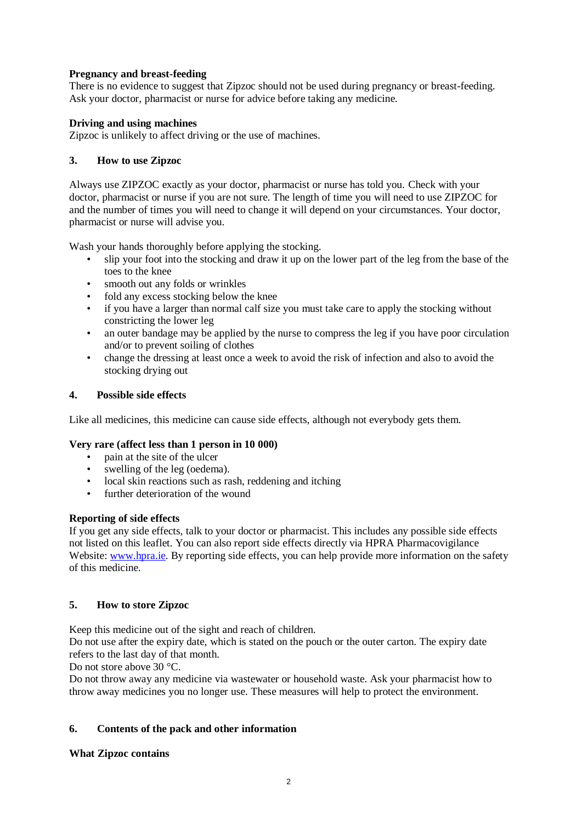# **Pregnancy and breast-feeding**

There is no evidence to suggest that Zipzoc should not be used during pregnancy or breast-feeding. Ask your doctor, pharmacist or nurse for advice before taking any medicine.

### **Driving and using machines**

Zipzoc is unlikely to affect driving or the use of machines.

# **3. How to use Zipzoc**

Always use ZIPZOC exactly as your doctor, pharmacist or nurse has told you. Check with your doctor, pharmacist or nurse if you are not sure. The length of time you will need to use ZIPZOC for and the number of times you will need to change it will depend on your circumstances. Your doctor, pharmacist or nurse will advise you.

Wash your hands thoroughly before applying the stocking.

- slip your foot into the stocking and draw it up on the lower part of the leg from the base of the toes to the knee
- smooth out any folds or wrinkles
- fold any excess stocking below the knee
- if you have a larger than normal calf size you must take care to apply the stocking without constricting the lower leg
- an outer bandage may be applied by the nurse to compress the leg if you have poor circulation and/or to prevent soiling of clothes
- change the dressing at least once a week to avoid the risk of infection and also to avoid the stocking drying out

# **4. Possible side effects**

Like all medicines, this medicine can cause side effects, although not everybody gets them.

### **Very rare (affect less than 1 person in 10 000)**

- pain at the site of the ulcer
- swelling of the leg (oedema).
- local skin reactions such as rash, reddening and itching
- further deterioration of the wound

### **Reporting of side effects**

If you get any side effects, talk to your doctor or pharmacist. This includes any possible side effects not listed on this leaflet. You can also report side effects directly via HPRA Pharmacovigilance Website: [www.hpra.ie.](http://www.hpra.ie/) By reporting side effects, you can help provide more information on the safety of this medicine.

# **5. How to store Zipzoc**

Keep this medicine out of the sight and reach of children.

Do not use after the expiry date, which is stated on the pouch or the outer carton. The expiry date refers to the last day of that month.

Do not store above 30 °C.

Do not throw away any medicine via wastewater or household waste. Ask your pharmacist how to throw away medicines you no longer use. These measures will help to protect the environment.

# **6. Contents of the pack and other information**

### **What Zipzoc contains**